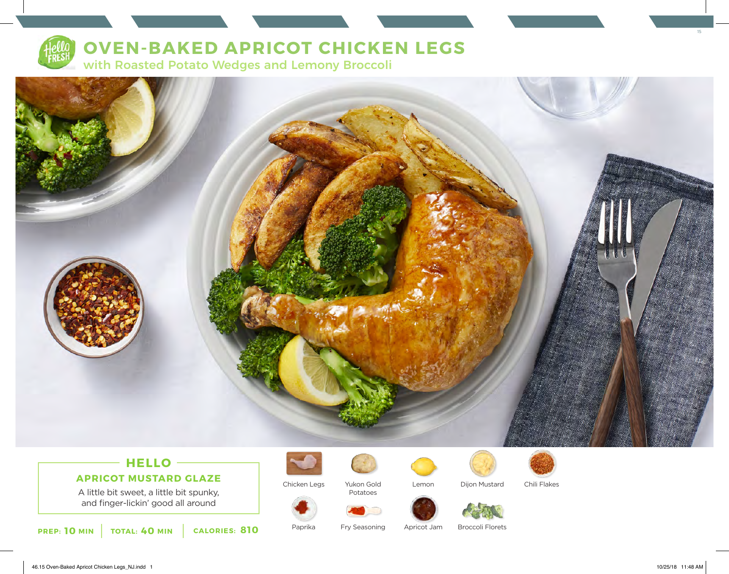

# **OVEN-BAKED APRICOT CHICKEN LEGS**

with Roasted Potato Wedges and Lemony Broccoli



## **HELLO APRICOT MUSTARD GLAZE**

A little bit sweet, a little bit spunky, and finger-lickin' good all around

**PREP: 10 MIN** TOTAL: 40 MIN CALORIES: 810 Paprika Fry Seasoning Apricot Jam



Chicken Legs



Paprika

Yukon Gold Potatoes

Fry Seasoning



Lemon Dijon Mustard Chili Flakes

Broccoli Florets

46.15 Oven-Baked Apricot Chicken Legs\_NJ.indd 1 10/25/18 11:48 AM

15